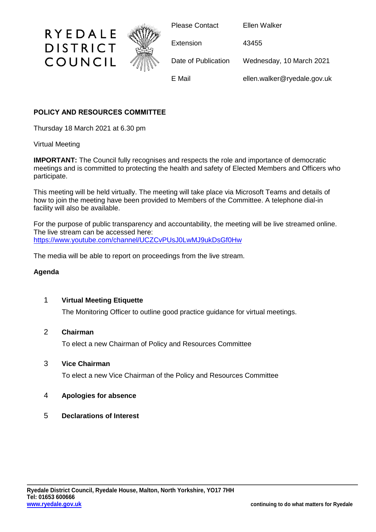

# **POLICY AND RESOURCES COMMITTEE**

Thursday 18 March 2021 at 6.30 pm

## Virtual Meeting

**IMPORTANT:** The Council fully recognises and respects the role and importance of democratic meetings and is committed to protecting the health and safety of Elected Members and Officers who participate.

This meeting will be held virtually. The meeting will take place via Microsoft Teams and details of how to join the meeting have been provided to Members of the Committee. A telephone dial-in facility will also be available.

For the purpose of public transparency and accountability, the meeting will be live streamed online. The live stream can be accessed here: <https://www.youtube.com/channel/UCZCvPUsJ0LwMJ9ukDsGf0Hw>

The media will be able to report on proceedings from the live stream.

## **Agenda**

## 1 **Virtual Meeting Etiquette**

The Monitoring Officer to outline good practice guidance for virtual meetings.

## 2 **Chairman**

To elect a new Chairman of Policy and Resources Committee

## 3 **Vice Chairman**

To elect a new Vice Chairman of the Policy and Resources Committee

## 4 **Apologies for absence**

5 **Declarations of Interest**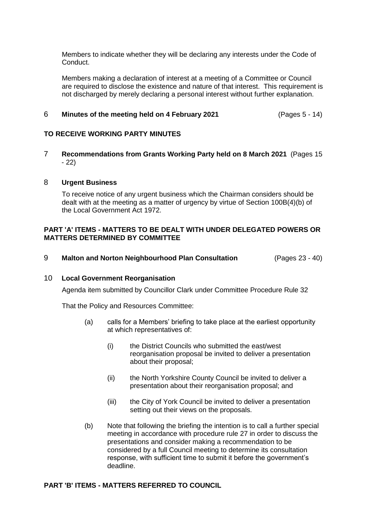Members to indicate whether they will be declaring any interests under the Code of Conduct.

Members making a declaration of interest at a meeting of a Committee or Council are required to disclose the existence and nature of that interest. This requirement is not discharged by merely declaring a personal interest without further explanation.

### 6 **Minutes of the meeting held on 4 February 2021** (Pages 5 - 14)

#### **TO RECEIVE WORKING PARTY MINUTES**

7 **Recommendations from Grants Working Party held on 8 March 2021** (Pages 15 - 22)

#### 8 **Urgent Business**

To receive notice of any urgent business which the Chairman considers should be dealt with at the meeting as a matter of urgency by virtue of Section 100B(4)(b) of the Local Government Act 1972.

### **PART 'A' ITEMS - MATTERS TO BE DEALT WITH UNDER DELEGATED POWERS OR MATTERS DETERMINED BY COMMITTEE**

9 **Malton and Norton Neighbourhood Plan Consultation** (Pages 23 - 40)

#### 10 **Local Government Reorganisation**

Agenda item submitted by Councillor Clark under Committee Procedure Rule 32

That the Policy and Resources Committee:

- (a) calls for a Members' briefing to take place at the earliest opportunity at which representatives of:
	- (i) the District Councils who submitted the east/west reorganisation proposal be invited to deliver a presentation about their proposal;
	- (ii) the North Yorkshire County Council be invited to deliver a presentation about their reorganisation proposal; and
	- (iii) the City of York Council be invited to deliver a presentation setting out their views on the proposals.
- (b) Note that following the briefing the intention is to call a further special meeting in accordance with procedure rule 27 in order to discuss the presentations and consider making a recommendation to be considered by a full Council meeting to determine its consultation response, with sufficient time to submit it before the government's deadline.

#### **PART 'B' ITEMS - MATTERS REFERRED TO COUNCIL**